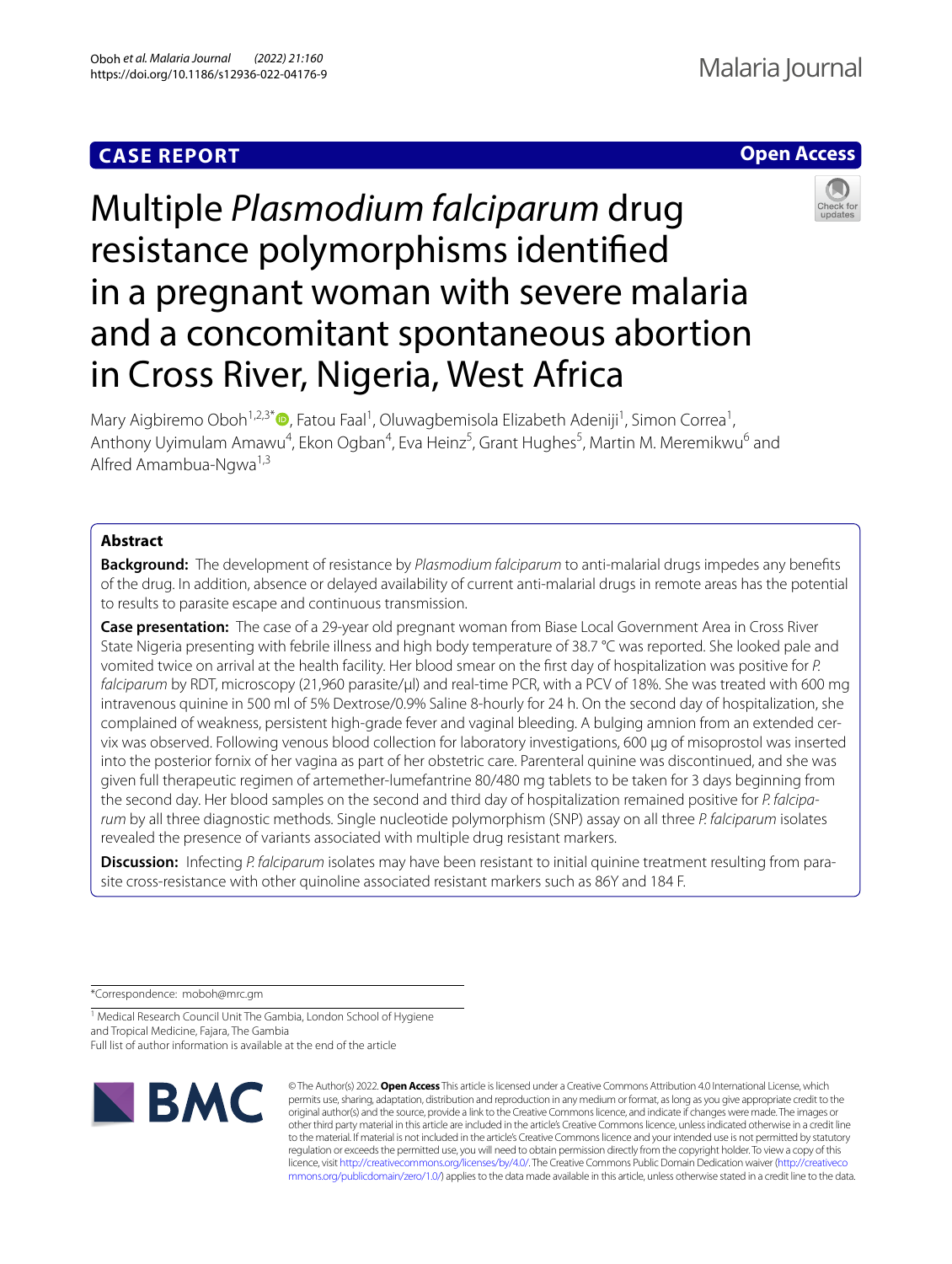## **CASE REPORT**



# Multiple *Plasmodium falciparum* drug resistance polymorphisms identifed in a pregnant woman with severe malaria and a concomitant spontaneous abortion in Cross River, Nigeria, West Africa

Mary Aigbiremo Oboh<sup>1[,](http://orcid.org/0000-0001-5720-8425)2,3\*</sup>®, Fatou Faal<sup>1</sup>, Oluwagbemisola Elizabeth Adeniji<sup>1</sup>, Simon Correa<sup>1</sup>, Anthony Uyimulam Amawu<sup>4</sup>, Ekon Ogban<sup>4</sup>, Eva Heinz<sup>5</sup>, Grant Hughes<sup>5</sup>, Martin M. Meremikwu<sup>6</sup> and Alfred Amambua-Ngwa<sup>1,3</sup>

## **Abstract**

**Background:** The development of resistance by *Plasmodium falciparum* to anti-malarial drugs impedes any benefts of the drug. In addition, absence or delayed availability of current anti-malarial drugs in remote areas has the potential to results to parasite escape and continuous transmission.

**Case presentation:** The case of a 29-year old pregnant woman from Biase Local Government Area in Cross River State Nigeria presenting with febrile illness and high body temperature of 38.7 °C was reported. She looked pale and vomited twice on arrival at the health facility. Her blood smear on the frst day of hospitalization was positive for *P. falciparum* by RDT, microscopy (21,960 parasite/µl) and real-time PCR, with a PCV of 18%. She was treated with 600 mg intravenous quinine in 500 ml of 5% Dextrose/0.9% Saline 8-hourly for 24 h. On the second day of hospitalization, she complained of weakness, persistent high-grade fever and vaginal bleeding. A bulging amnion from an extended cervix was observed. Following venous blood collection for laboratory investigations, 600 µg of misoprostol was inserted into the posterior fornix of her vagina as part of her obstetric care. Parenteral quinine was discontinued, and she was given full therapeutic regimen of artemether-lumefantrine 80/480 mg tablets to be taken for 3 days beginning from the second day. Her blood samples on the second and third day of hospitalization remained positive for *P. falciparum* by all three diagnostic methods. Single nucleotide polymorphism (SNP) assay on all three *P. falciparum* isolates revealed the presence of variants associated with multiple drug resistant markers.

**Discussion:** Infecting *P. falciparum* isolates may have been resistant to initial quinine treatment resulting from parasite cross-resistance with other quinoline associated resistant markers such as 86Y and 184 F.

\*Correspondence: moboh@mrc.gm

<sup>1</sup> Medical Research Council Unit The Gambia, London School of Hygiene and Tropical Medicine, Fajara, The Gambia Full list of author information is available at the end of the article



© The Author(s) 2022. **Open Access** This article is licensed under a Creative Commons Attribution 4.0 International License, which permits use, sharing, adaptation, distribution and reproduction in any medium or format, as long as you give appropriate credit to the original author(s) and the source, provide a link to the Creative Commons licence, and indicate if changes were made. The images or other third party material in this article are included in the article's Creative Commons licence, unless indicated otherwise in a credit line to the material. If material is not included in the article's Creative Commons licence and your intended use is not permitted by statutory regulation or exceeds the permitted use, you will need to obtain permission directly from the copyright holder. To view a copy of this licence, visit [http://creativecommons.org/licenses/by/4.0/.](http://creativecommons.org/licenses/by/4.0/) The Creative Commons Public Domain Dedication waiver ([http://creativeco](http://creativecommons.org/publicdomain/zero/1.0/) [mmons.org/publicdomain/zero/1.0/](http://creativecommons.org/publicdomain/zero/1.0/)) applies to the data made available in this article, unless otherwise stated in a credit line to the data.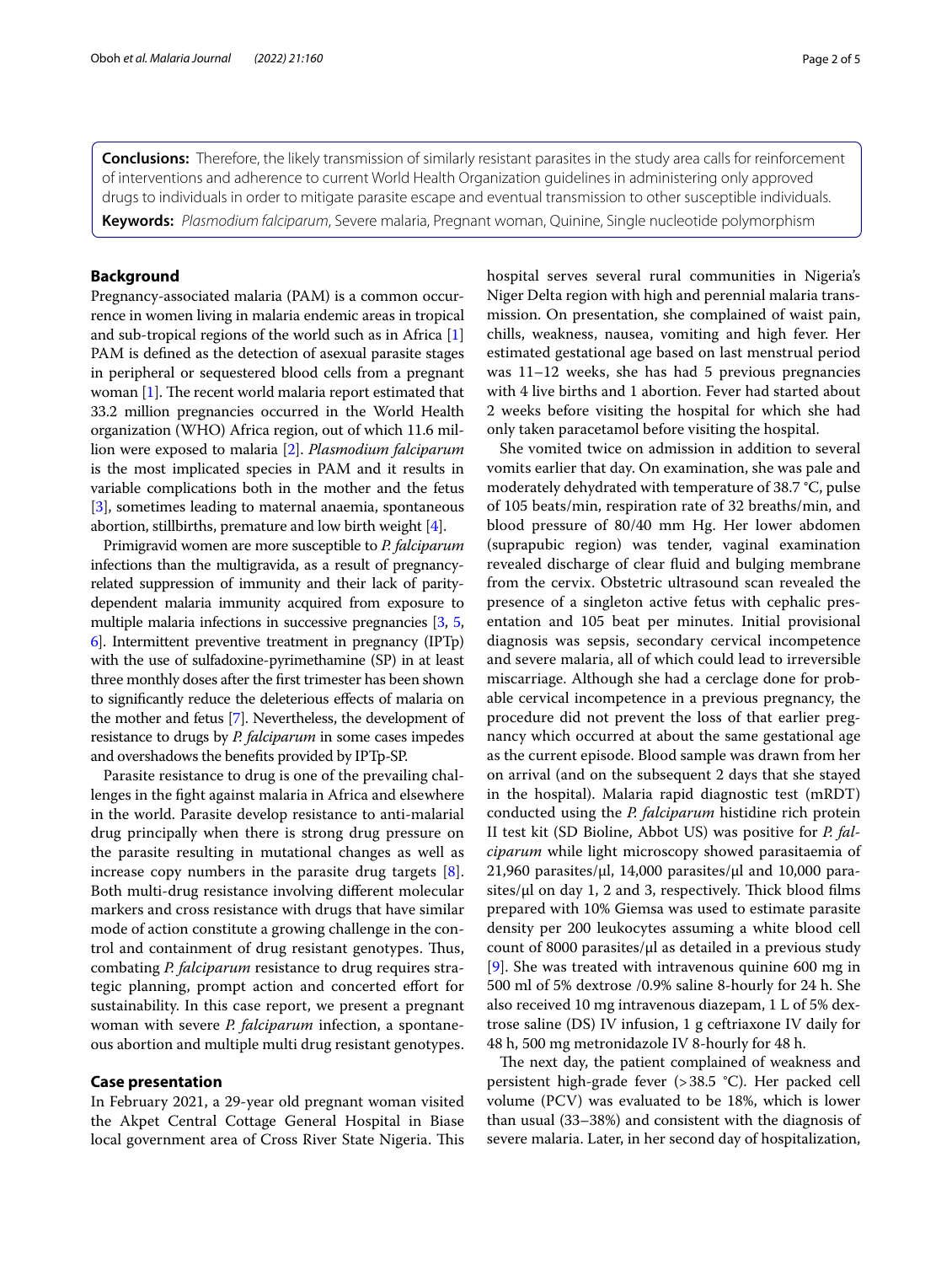**Conclusions:** Therefore, the likely transmission of similarly resistant parasites in the study area calls for reinforcement of interventions and adherence to current World Health Organization guidelines in administering only approved drugs to individuals in order to mitigate parasite escape and eventual transmission to other susceptible individuals.

**Keywords:** *Plasmodium falciparum*, Severe malaria, Pregnant woman, Quinine, Single nucleotide polymorphism

## **Background**

Pregnancy-associated malaria (PAM) is a common occurrence in women living in malaria endemic areas in tropical and sub-tropical regions of the world such as in Africa [[1](#page-3-0)] PAM is defned as the detection of asexual parasite stages in peripheral or sequestered blood cells from a pregnant woman  $[1]$  $[1]$ . The recent world malaria report estimated that 33.2 million pregnancies occurred in the World Health organization (WHO) Africa region, out of which 11.6 million were exposed to malaria [\[2\]](#page-3-1). *Plasmodium falciparum* is the most implicated species in PAM and it results in variable complications both in the mother and the fetus [[3\]](#page-3-2), sometimes leading to maternal anaemia, spontaneous abortion, stillbirths, premature and low birth weight [\[4](#page-3-3)].

Primigravid women are more susceptible to *P. falciparum* infections than the multigravida, as a result of pregnancyrelated suppression of immunity and their lack of paritydependent malaria immunity acquired from exposure to multiple malaria infections in successive pregnancies [[3](#page-3-2), [5](#page-3-4), [6](#page-3-5)]. Intermittent preventive treatment in pregnancy (IPTp) with the use of sulfadoxine-pyrimethamine (SP) in at least three monthly doses after the frst trimester has been shown to signifcantly reduce the deleterious efects of malaria on the mother and fetus [[7](#page-3-6)]. Nevertheless, the development of resistance to drugs by *P. falciparum* in some cases impedes and overshadows the benefts provided by IPTp-SP.

Parasite resistance to drug is one of the prevailing challenges in the fght against malaria in Africa and elsewhere in the world. Parasite develop resistance to anti-malarial drug principally when there is strong drug pressure on the parasite resulting in mutational changes as well as increase copy numbers in the parasite drug targets [\[8](#page-3-7)]. Both multi-drug resistance involving diferent molecular markers and cross resistance with drugs that have similar mode of action constitute a growing challenge in the control and containment of drug resistant genotypes. Thus, combating *P. falciparum* resistance to drug requires strategic planning, prompt action and concerted efort for sustainability. In this case report, we present a pregnant woman with severe *P. falciparum* infection, a spontaneous abortion and multiple multi drug resistant genotypes.

#### **Case presentation**

In February 2021, a 29-year old pregnant woman visited the Akpet Central Cottage General Hospital in Biase local government area of Cross River State Nigeria. This hospital serves several rural communities in Nigeria's Niger Delta region with high and perennial malaria transmission. On presentation, she complained of waist pain, chills, weakness, nausea, vomiting and high fever. Her estimated gestational age based on last menstrual period was 11–12 weeks, she has had 5 previous pregnancies with 4 live births and 1 abortion. Fever had started about 2 weeks before visiting the hospital for which she had only taken paracetamol before visiting the hospital.

She vomited twice on admission in addition to several vomits earlier that day. On examination, she was pale and moderately dehydrated with temperature of 38.7 °C, pulse of 105 beats/min, respiration rate of 32 breaths/min, and blood pressure of 80/40 mm Hg. Her lower abdomen (suprapubic region) was tender, vaginal examination revealed discharge of clear fuid and bulging membrane from the cervix. Obstetric ultrasound scan revealed the presence of a singleton active fetus with cephalic presentation and 105 beat per minutes. Initial provisional diagnosis was sepsis, secondary cervical incompetence and severe malaria, all of which could lead to irreversible miscarriage. Although she had a cerclage done for probable cervical incompetence in a previous pregnancy, the procedure did not prevent the loss of that earlier pregnancy which occurred at about the same gestational age as the current episode. Blood sample was drawn from her on arrival (and on the subsequent 2 days that she stayed in the hospital). Malaria rapid diagnostic test (mRDT) conducted using the *P. falciparum* histidine rich protein II test kit (SD Bioline, Abbot US) was positive for *P. falciparum* while light microscopy showed parasitaemia of 21,960 parasites/ $\mu$ l, 14,000 parasites/ $\mu$ l and 10,000 parasites/ $\mu$ l on day 1, 2 and 3, respectively. Thick blood films prepared with 10% Giemsa was used to estimate parasite density per 200 leukocytes assuming a white blood cell count of 8000 parasites/ $\mu$ l as detailed in a previous study [[9\]](#page-3-8). She was treated with intravenous quinine 600 mg in 500 ml of 5% dextrose /0.9% saline 8-hourly for 24 h. She also received 10 mg intravenous diazepam, 1 L of 5% dextrose saline (DS) IV infusion, 1 g ceftriaxone IV daily for 48 h, 500 mg metronidazole IV 8-hourly for 48 h.

The next day, the patient complained of weakness and persistent high-grade fever (>38.5 °C). Her packed cell volume (PCV) was evaluated to be 18%, which is lower than usual (33–38%) and consistent with the diagnosis of severe malaria. Later, in her second day of hospitalization,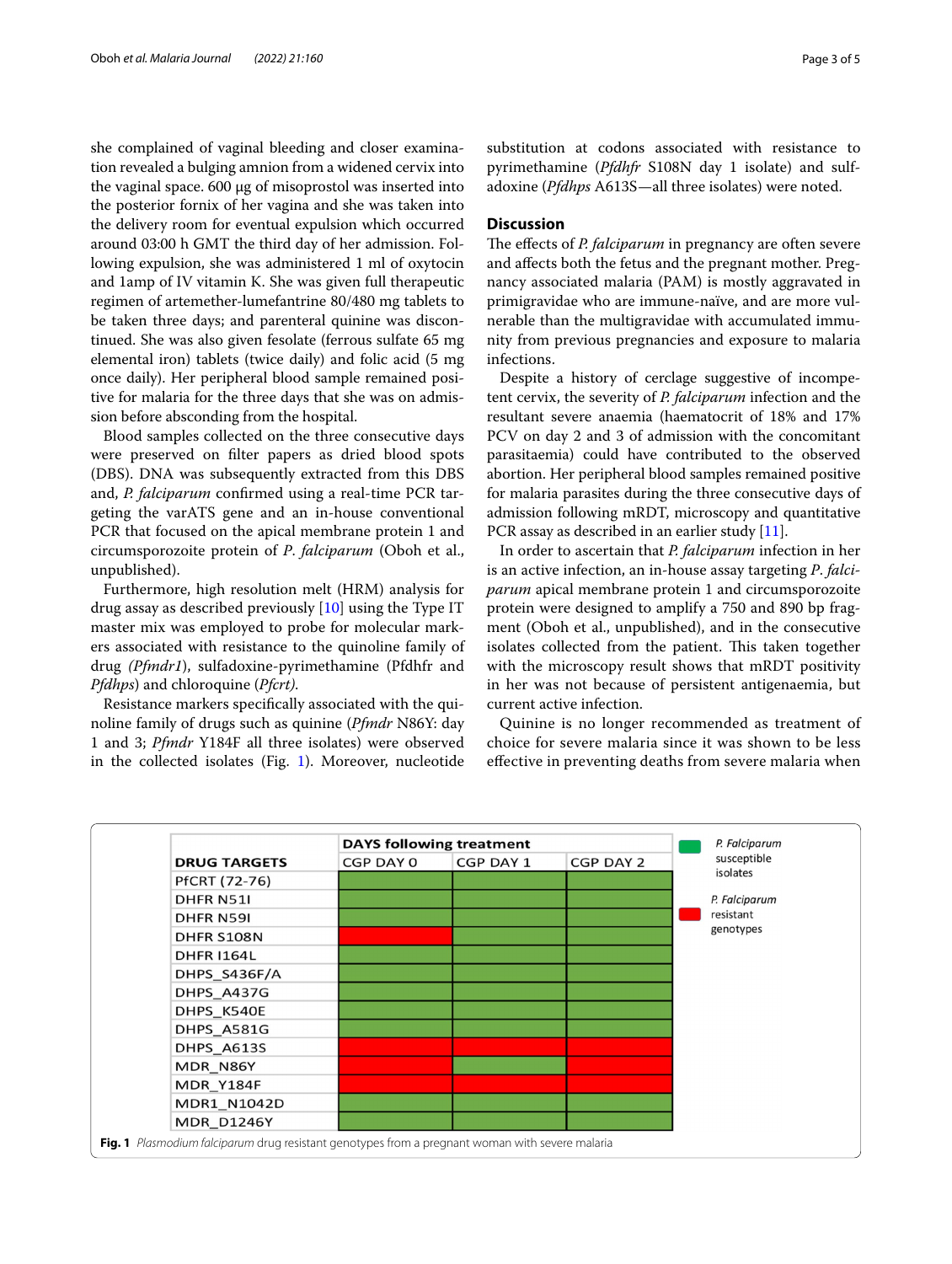she complained of vaginal bleeding and closer examination revealed a bulging amnion from a widened cervix into the vaginal space. 600 µg of misoprostol was inserted into the posterior fornix of her vagina and she was taken into the delivery room for eventual expulsion which occurred around 03:00 h GMT the third day of her admission. Following expulsion, she was administered 1 ml of oxytocin and 1amp of IV vitamin K. She was given full therapeutic regimen of artemether-lumefantrine 80/480 mg tablets to be taken three days; and parenteral quinine was discontinued. She was also given fesolate (ferrous sulfate 65 mg elemental iron) tablets (twice daily) and folic acid (5 mg once daily). Her peripheral blood sample remained positive for malaria for the three days that she was on admission before absconding from the hospital.

Blood samples collected on the three consecutive days were preserved on flter papers as dried blood spots (DBS). DNA was subsequently extracted from this DBS and, *P. falciparum* confrmed using a real-time PCR targeting the varATS gene and an in-house conventional PCR that focused on the apical membrane protein 1 and circumsporozoite protein of *P*. *falciparum* (Oboh et al., unpublished).

Furthermore, high resolution melt (HRM) analysis for drug assay as described previously [[10](#page-3-9)] using the Type IT master mix was employed to probe for molecular markers associated with resistance to the quinoline family of drug *(Pfmdr1*), sulfadoxine-pyrimethamine (Pfdhfr and *Pfdhps*) and chloroquine (*Pfcrt)*.

Resistance markers specifcally associated with the quinoline family of drugs such as quinine (*Pfmdr* N86Y: day 1 and 3; *Pfmdr* Y184F all three isolates) were observed in the collected isolates (Fig. [1\)](#page-2-0). Moreover, nucleotide

substitution at codons associated with resistance to pyrimethamine (*Pfdhfr* S108N day 1 isolate) and sulfadoxine (*Pfdhps* A613S—all three isolates) were noted.

## **Discussion**

The effects of *P. falciparum* in pregnancy are often severe and afects both the fetus and the pregnant mother. Pregnancy associated malaria (PAM) is mostly aggravated in primigravidae who are immune-naïve, and are more vulnerable than the multigravidae with accumulated immunity from previous pregnancies and exposure to malaria infections.

Despite a history of cerclage suggestive of incompetent cervix, the severity of *P. falciparum* infection and the resultant severe anaemia (haematocrit of 18% and 17% PCV on day 2 and 3 of admission with the concomitant parasitaemia) could have contributed to the observed abortion. Her peripheral blood samples remained positive for malaria parasites during the three consecutive days of admission following mRDT, microscopy and quantitative PCR assay as described in an earlier study [\[11\]](#page-3-10).

In order to ascertain that *P. falciparum* infection in her is an active infection, an in-house assay targeting *P*. *falciparum* apical membrane protein 1 and circumsporozoite protein were designed to amplify a 750 and 890 bp fragment (Oboh et al., unpublished), and in the consecutive isolates collected from the patient. This taken together with the microscopy result shows that mRDT positivity in her was not because of persistent antigenaemia, but current active infection.

Quinine is no longer recommended as treatment of choice for severe malaria since it was shown to be less efective in preventing deaths from severe malaria when

<span id="page-2-0"></span>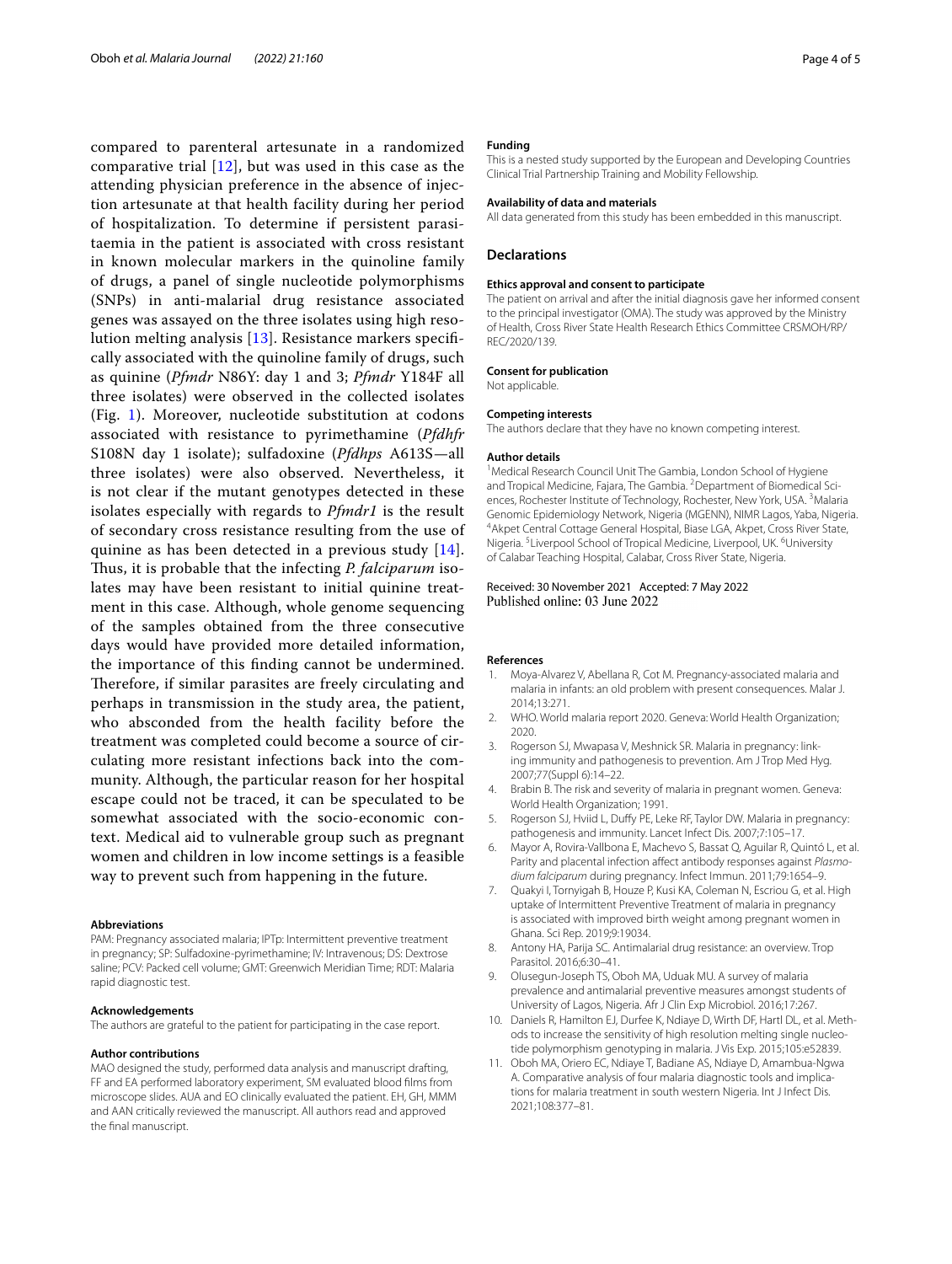compared to parenteral artesunate in a randomized comparative trial  $[12]$  $[12]$ , but was used in this case as the attending physician preference in the absence of injection artesunate at that health facility during her period of hospitalization. To determine if persistent parasitaemia in the patient is associated with cross resistant in known molecular markers in the quinoline family of drugs, a panel of single nucleotide polymorphisms (SNPs) in anti-malarial drug resistance associated genes was assayed on the three isolates using high resolution melting analysis [[13\]](#page-4-1). Resistance markers specifcally associated with the quinoline family of drugs, such as quinine (*Pfmdr* N86Y: day 1 and 3; *Pfmdr* Y184F all three isolates) were observed in the collected isolates (Fig. [1](#page-2-0)). Moreover, nucleotide substitution at codons associated with resistance to pyrimethamine (*Pfdhfr* S108N day 1 isolate); sulfadoxine (*Pfdhps* A613S—all three isolates) were also observed. Nevertheless, it is not clear if the mutant genotypes detected in these isolates especially with regards to *Pfmdr1* is the result of secondary cross resistance resulting from the use of quinine as has been detected in a previous study [[14\]](#page-4-2). Thus, it is probable that the infecting *P. falciparum* isolates may have been resistant to initial quinine treatment in this case. Although, whole genome sequencing of the samples obtained from the three consecutive days would have provided more detailed information, the importance of this fnding cannot be undermined. Therefore, if similar parasites are freely circulating and perhaps in transmission in the study area, the patient, who absconded from the health facility before the treatment was completed could become a source of circulating more resistant infections back into the community. Although, the particular reason for her hospital escape could not be traced, it can be speculated to be somewhat associated with the socio-economic context. Medical aid to vulnerable group such as pregnant women and children in low income settings is a feasible way to prevent such from happening in the future.

#### **Abbreviations**

PAM: Pregnancy associated malaria; IPTp: Intermittent preventive treatment in pregnancy; SP: Sulfadoxine-pyrimethamine; IV: Intravenous; DS: Dextrose saline; PCV: Packed cell volume; GMT: Greenwich Meridian Time; RDT: Malaria rapid diagnostic test.

#### **Acknowledgements**

The authors are grateful to the patient for participating in the case report.

#### **Author contributions**

MAO designed the study, performed data analysis and manuscript drafting, FF and EA performed laboratory experiment, SM evaluated blood flms from microscope slides. AUA and EO clinically evaluated the patient. EH, GH, MMM and AAN critically reviewed the manuscript. All authors read and approved the fnal manuscript.

#### **Funding**

This is a nested study supported by the European and Developing Countries Clinical Trial Partnership Training and Mobility Fellowship.

#### **Availability of data and materials**

All data generated from this study has been embedded in this manuscript.

#### **Declarations**

#### **Ethics approval and consent to participate**

The patient on arrival and after the initial diagnosis gave her informed consent to the principal investigator (OMA). The study was approved by the Ministry of Health, Cross River State Health Research Ethics Committee CRSMOH/RP/ REC/2020/139.

#### **Consent for publication**

Not applicable.

#### **Competing interests**

The authors declare that they have no known competing interest.

#### **Author details**

<sup>1</sup> Medical Research Council Unit The Gambia, London School of Hygiene and Tropical Medicine, Fajara, The Gambia. <sup>2</sup> Department of Biomedical Sciences, Rochester Institute of Technology, Rochester, New York, USA.<sup>3</sup> Malaria Genomic Epidemiology Network, Nigeria (MGENN), NIMR Lagos, Yaba, Nigeria. 4 Akpet Central Cottage General Hospital, Biase LGA, Akpet, Cross River State, Nigeria.<sup>5</sup> Liverpool School of Tropical Medicine, Liverpool, UK.<sup>6</sup> University of Calabar Teaching Hospital, Calabar, Cross River State, Nigeria.

## Received: 30 November 2021 Accepted: 7 May 2022 Published online: 03 June 2022

#### **References**

- <span id="page-3-0"></span>1. Moya-Alvarez V, Abellana R, Cot M. Pregnancy-associated malaria and malaria in infants: an old problem with present consequences. Malar J. 2014;13:271.
- <span id="page-3-1"></span>2. WHO. World malaria report 2020. Geneva: World Health Organization; 2020.
- <span id="page-3-2"></span>Rogerson SJ, Mwapasa V, Meshnick SR. Malaria in pregnancy: linking immunity and pathogenesis to prevention. Am J Trop Med Hyg. 2007;77(Suppl 6):14–22.
- <span id="page-3-3"></span>4. Brabin B. The risk and severity of malaria in pregnant women. Geneva: World Health Organization; 1991.
- <span id="page-3-4"></span>5. Rogerson SJ, Hviid L, Dufy PE, Leke RF, Taylor DW. Malaria in pregnancy: pathogenesis and immunity. Lancet Infect Dis. 2007;7:105–17.
- <span id="page-3-5"></span>6. Mayor A, Rovira-Vallbona E, Machevo S, Bassat Q, Aguilar R, Quintó L, et al. Parity and placental infection afect antibody responses against *Plasmodium falciparum* during pregnancy. Infect Immun. 2011;79:1654–9.
- <span id="page-3-6"></span>7. Quakyi I, Tornyigah B, Houze P, Kusi KA, Coleman N, Escriou G, et al. High uptake of Intermittent Preventive Treatment of malaria in pregnancy is associated with improved birth weight among pregnant women in Ghana. Sci Rep. 2019;9:19034.
- <span id="page-3-7"></span>8. Antony HA, Parija SC. Antimalarial drug resistance: an overview. Trop Parasitol. 2016;6:30–41.
- <span id="page-3-8"></span>9. Olusegun-Joseph TS, Oboh MA, Uduak MU. A survey of malaria prevalence and antimalarial preventive measures amongst students of University of Lagos, Nigeria. Afr J Clin Exp Microbiol. 2016;17:267.
- <span id="page-3-9"></span>10. Daniels R, Hamilton EJ, Durfee K, Ndiaye D, Wirth DF, Hartl DL, et al. Methods to increase the sensitivity of high resolution melting single nucleotide polymorphism genotyping in malaria. J Vis Exp. 2015;105:e52839.
- <span id="page-3-10"></span>11. Oboh MA, Oriero EC, Ndiaye T, Badiane AS, Ndiaye D, Amambua-Ngwa A. Comparative analysis of four malaria diagnostic tools and implications for malaria treatment in south western Nigeria. Int J Infect Dis. 2021;108:377–81.